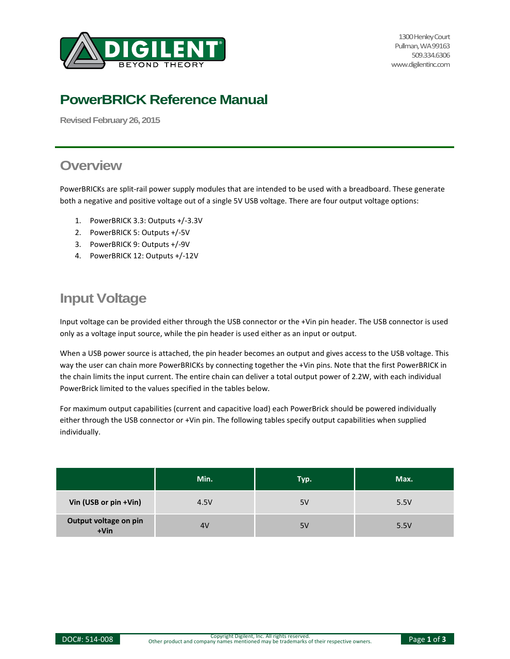

1300 Henley Court Pullman, WA 99163 509.334.6306 www.digilentinc.com

# **PowerBRICK Reference Manual**

**Revised February26, 2015**

## **Overview**

PowerBRICKs are split-rail power supply modules that are intended to be used with a breadboard. These generate both a negative and positive voltage out of a single 5V USB voltage. There are four output voltage options:

- 1. PowerBRICK 3.3: Outputs +/-3.3V
- 2. PowerBRICK 5: Outputs +/-5V
- 3. PowerBRICK 9: Outputs +/-9V
- 4. PowerBRICK 12: Outputs +/-12V

# **Input Voltage**

Input voltage can be provided either through the USB connector or the +Vin pin header. The USB connector is used only as a voltage input source, while the pin header is used either as an input or output.

When a USB power source is attached, the pin header becomes an output and gives access to the USB voltage. This way the user can chain more PowerBRICKs by connecting together the +Vin pins. Note that the first PowerBRICK in the chain limits the input current. The entire chain can deliver a total output power of 2.2W, with each individual PowerBrick limited to the values specified in the tables below.

For maximum output capabilities (current and capacitive load) each PowerBrick should be powered individually either through the USB connector or +Vin pin. The following tables specify output capabilities when supplied individually.

|                               | Min. | Typ. | Max. |
|-------------------------------|------|------|------|
| Vin (USB or pin +Vin)         | 4.5V | 5V   | 5.5V |
| Output voltage on pin<br>+Vin | 4V   | 5V   | 5.5V |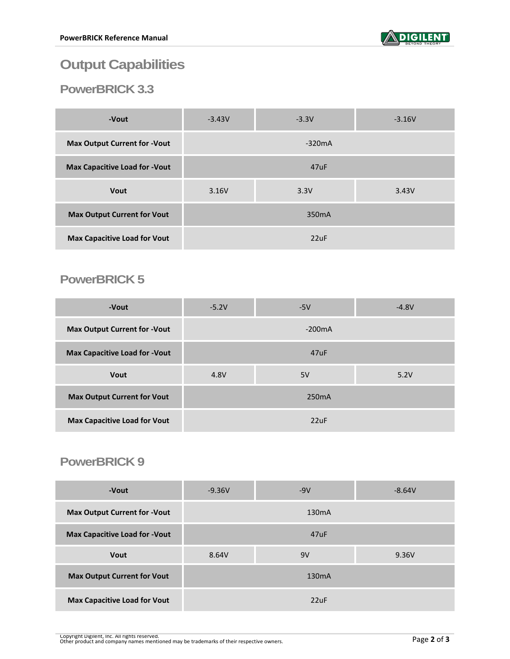

# **Output Capabilities**

## **PowerBRICK 3.3**

| -Vout                                | $-3.43V$           | $-3.3V$  | $-3.16V$ |
|--------------------------------------|--------------------|----------|----------|
| <b>Max Output Current for -Vout</b>  |                    | $-320mA$ |          |
| <b>Max Capacitive Load for -Vout</b> | 47uF               |          |          |
| <b>Vout</b>                          | 3.16V              | 3.3V     | 3.43V    |
| <b>Max Output Current for Vout</b>   | 350 <sub>m</sub> A |          |          |
| <b>Max Capacitive Load for Vout</b>  | 22uF               |          |          |

## **PowerBRICK 5**

| -Vout                                | $-5.2V$            | $-5V$    | $-4.8V$ |
|--------------------------------------|--------------------|----------|---------|
| <b>Max Output Current for -Vout</b>  |                    | $-200mA$ |         |
| <b>Max Capacitive Load for -Vout</b> | 47uF               |          |         |
| <b>Vout</b>                          | 4.8V               | 5V       | 5.2V    |
| <b>Max Output Current for Vout</b>   | 250 <sub>m</sub> A |          |         |
| <b>Max Capacitive Load for Vout</b>  | 22uF               |          |         |

#### **PowerBRICK 9**

| -Vout                                | $-9.36V$ | $-9V$              | $-8.64V$ |
|--------------------------------------|----------|--------------------|----------|
| <b>Max Output Current for -Vout</b>  |          | 130 <sub>m</sub> A |          |
| <b>Max Capacitive Load for -Vout</b> |          | 47uF               |          |
| <b>Vout</b>                          | 8.64V    | 9V                 | 9.36V    |
| <b>Max Output Current for Vout</b>   |          | 130 <sub>m</sub> A |          |
| <b>Max Capacitive Load for Vout</b>  |          | 22uF               |          |